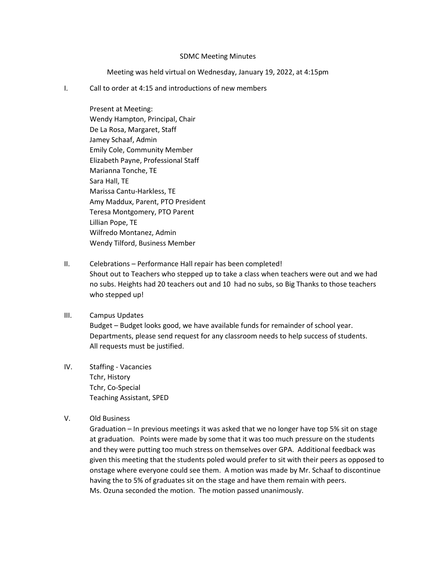## SDMC Meeting Minutes

Meeting was held virtual on Wednesday, January 19, 2022, at 4:15pm

I. Call to order at 4:15 and introductions of new members

Present at Meeting: Wendy Hampton, Principal, Chair De La Rosa, Margaret, Staff Jamey Schaaf, Admin Emily Cole, Community Member Elizabeth Payne, Professional Staff Marianna Tonche, TE Sara Hall, TE Marissa Cantu-Harkless, TE Amy Maddux, Parent, PTO President Teresa Montgomery, PTO Parent Lillian Pope, TE Wilfredo Montanez, Admin Wendy Tilford, Business Member

- II. Celebrations Performance Hall repair has been completed! Shout out to Teachers who stepped up to take a class when teachers were out and we had no subs. Heights had 20 teachers out and 10 had no subs, so Big Thanks to those teachers who stepped up!
- III. Campus Updates Budget – Budget looks good, we have available funds for remainder of school year. Departments, please send request for any classroom needs to help success of students. All requests must be justified.
- IV. Staffing Vacancies Tchr, History Tchr, Co-Special Teaching Assistant, SPED
- V. Old Business

Graduation – In previous meetings it was asked that we no longer have top 5% sit on stage at graduation. Points were made by some that it was too much pressure on the students and they were putting too much stress on themselves over GPA. Additional feedback was given this meeting that the students poled would prefer to sit with their peers as opposed to onstage where everyone could see them. A motion was made by Mr. Schaaf to discontinue having the to 5% of graduates sit on the stage and have them remain with peers. Ms. Ozuna seconded the motion. The motion passed unanimously.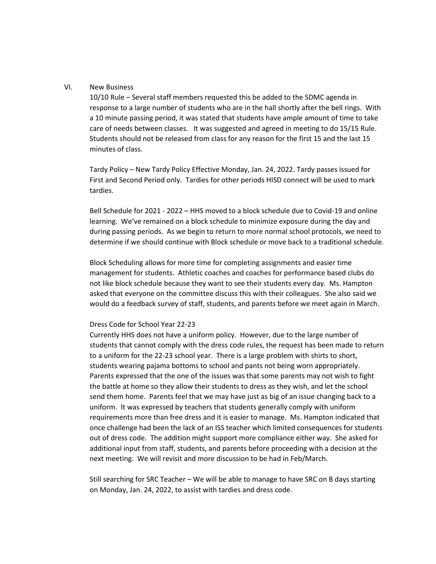## VI. New Business

10/10 Rule – Several staff members requested this be added to the SDMC agenda in response to a large number of students who are in the hall shortly after the bell rings. With a 10 minute passing period, it was stated that students have ample amount of time to take care of needs between classes. It was suggested and agreed in meeting to do 15/15 Rule. Students should not be released from class for any reason for the first 15 and the last 15 minutes of class.

Tardy Policy – New Tardy Policy Effective Monday, Jan. 24, 2022. Tardy passes issued for First and Second Period only. Tardies for other periods HISD connect will be used to mark tardies.

Bell Schedule for 2021 - 2022 – HHS moved to a block schedule due to Covid-19 and online learning. We've remained on a block schedule to minimize exposure during the day and during passing periods. As we begin to return to more normal school protocols, we need to determine if we should continue with Block schedule or move back to a traditional schedule.

Block Scheduling allows for more time for completing assignments and easier time management for students. Athletic coaches and coaches for performance based clubs do not like block schedule because they want to see their students every day. Ms. Hampton asked that everyone on the committee discuss this with their colleagues. She also said we would do a feedback survey of staff, students, and parents before we meet again in March.

## Dress Code for School Year 22-23

Currently HHS does not have a uniform policy. However, due to the large number of students that cannot comply with the dress code rules, the request has been made to return to a uniform for the 22-23 school year. There is a large problem with shirts to short, students wearing pajama bottoms to school and pants not being worn appropriately. Parents expressed that the one of the issues was that some parents may not wish to fight the battle at home so they allow their students to dress as they wish, and let the school send them home. Parents feel that we may have just as big of an issue changing back to a uniform. It was expressed by teachers that students generally comply with uniform requirements more than free dress and it is easier to manage. Ms. Hampton indicated that once challenge had been the lack of an ISS teacher which limited consequences for students out of dress code. The addition might support more compliance either way. She asked for additional input from staff, students, and parents before proceeding with a decision at the next meeting. We will revisit and more discussion to be had in Feb/March.

Still searching for SRC Teacher – We will be able to manage to have SRC on B days starting on Monday, Jan. 24, 2022, to assist with tardies and dress code.